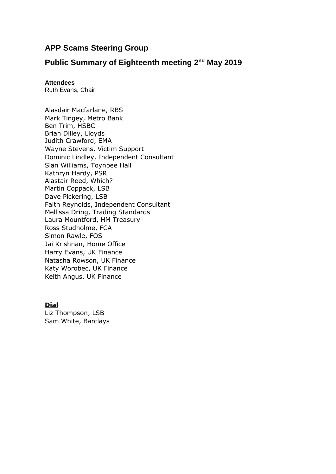# **APP Scams Steering Group**

## **Public Summary of Eighteenth meeting 2<sup>nd</sup> May 2019**

## **Attendees**

Ruth Evans, Chair

Alasdair Macfarlane, RBS Mark Tingey, Metro Bank Ben Trim, HSBC Brian Dilley, Lloyds Judith Crawford, EMA Wayne Stevens, Victim Support Dominic Lindley, Independent Consultant Sian Williams, Toynbee Hall Kathryn Hardy, PSR Alastair Reed, Which? Martin Coppack, LSB Dave Pickering, LSB Faith Reynolds, Independent Consultant Mellissa Dring, Trading Standards Laura Mountford, HM Treasury Ross Studholme, FCA Simon Rawle, FOS Jai Krishnan, Home Office Harry Evans, UK Finance Natasha Rowson, UK Finance Katy Worobec, UK Finance Keith Angus, UK Finance

## **Dial**

Liz Thompson, LSB Sam White, Barclays